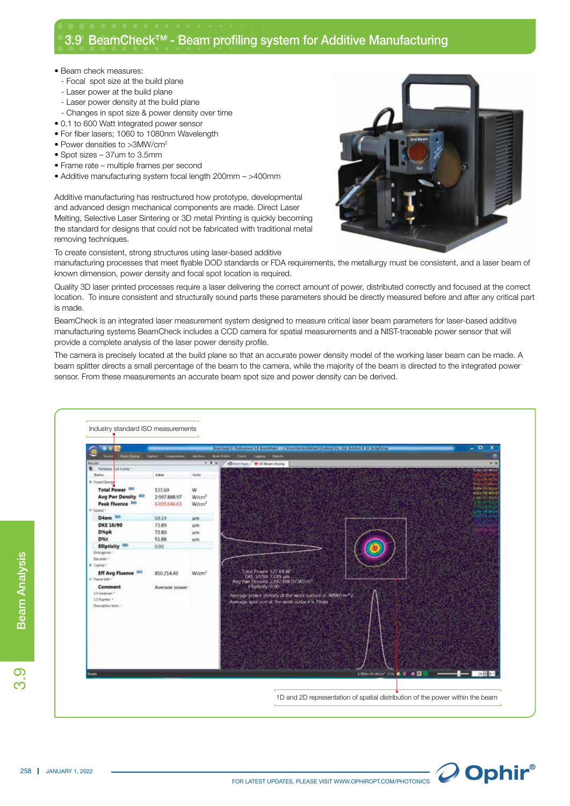## 3.9 BeamCheck™ - Beam profiling system for Additive Manufacturing

- Beam check measures:
	- Focal spot size at the build plane
	- Laser power at the build plane
	- Laser power density at the build plane
	- Changes in spot size & power density over time
- 0.1 to 600 Watt integrated power sensor
- For fiber lasers; 1060 to 1080nm Wavelength
- Power densities to >3MW/cm<sup>2</sup>
- Spot sizes 37um to 3.5mm
- Frame rate multiple frames per second
- Additive manufacturing system focal length 200mm >400mm

Additive manufacturing has restructured how prototype, developmental and advanced design mechanical components are made. Direct Laser Melting, Selective Laser Sintering or 3D metal Printing is quickly becoming the standard for designs that could not be fabricated with traditional metal removing techniques.



To create consistent, strong structures using laser-based additive manufacturing processes that meet flyable DOD standards or FDA requirements, the metallurgy must be consistent, and a laser beam of known dimension, power density and focal spot location is required.

Quality 3D laser printed processes require a laser delivering the correct amount of power, distributed correctly and focused at the correct location. To insure consistent and structurally sound parts these parameters should be directly measured before and after any critical part is made.

BeamCheck is an integrated laser measurement system designed to measure critical laser beam parameters for laser-based additive manufacturing systems BeamCheck includes a CCD camera for spatial measurements and a NIST-traceable power sensor that will provide a complete analysis of the laser power density profile.

The camera is precisely located at the build plane so that an accurate power density model of the working laser beam can be made. A beam splitter directs a small percentage of the beam to the camera, while the majority of the beam is directed to the integrated power sensor. From these measurements an accurate beam spot size and power density can be derived.

| <b>Than Drow</b><br><b>Soldiers</b>   | Cartan Computation | <b>Acordon</b>    | - 0<br>Compagnitive members in the members of the construction of a support of matrice \$15 in typically<br><b>Norchster: Dark Logest: Kent</b> |
|---------------------------------------|--------------------|-------------------|-------------------------------------------------------------------------------------------------------------------------------------------------|
| <b>Retults</b>                        |                    | $+18$             | Chillen Fage / # 20 Bram Display<br>$-3$                                                                                                        |
| <b>B</b> Furtion: Full Fisher<br>Name | Value:             | <b>Units</b>      | E190-26 W/OF                                                                                                                                    |
| <b>M. Fowerfallers</b>                |                    |                   |                                                                                                                                                 |
| <b>Total Power</b> 150                | 127.69             | w                 | <b>TANK</b>                                                                                                                                     |
| <b>Avg Parr Density 50</b>            | 299788897          | W/cm <sup>2</sup> | <b>HADI CH WATER</b><br><b>JUNE LE WILE</b>                                                                                                     |
| Peak Fluence (50)                     | 6.005.646.63       | W/cm <sup>2</sup> |                                                                                                                                                 |
| III Spetial -                         |                    |                   | 2,06-30                                                                                                                                         |
| D4gm 150                              | 69.14              | um                |                                                                                                                                                 |
| <b>DKE 10/90</b>                      | 73.89              | <b>Jum</b>        |                                                                                                                                                 |
| D%pk                                  | 72.80              | tarty.            |                                                                                                                                                 |
| D%t                                   | 51.88              | um.               |                                                                                                                                                 |
| <b>Ellipticity</b> No.                | 0.90               |                   |                                                                                                                                                 |
| Divergence -<br>Generian -            |                    |                   |                                                                                                                                                 |
| 3 Teaklat *                           |                    |                   |                                                                                                                                                 |
| Eff Avg Fluence no                    | 850.214.40         | W/cm <sup>2</sup> | Total Fower 127.69 W                                                                                                                            |
| il Prame Info *                       |                    |                   | DKL 10/93 73.89 am<br>Two Pwt Density, 2,997,888.97 W/cm3.                                                                                      |
| Comment                               | Average power      |                   | Highely: 0.90                                                                                                                                   |
| 1D-Smesslan **                        |                    |                   | /wetage-power density at the work startace is 3MW/cm*2.                                                                                         |
| ID TopHat **                          |                    |                   | Avenute spot size at the work statace is 74um.                                                                                                  |
| Dearnighter State -                   |                    |                   |                                                                                                                                                 |
|                                       |                    |                   |                                                                                                                                                 |
|                                       |                    |                   |                                                                                                                                                 |
|                                       |                    |                   |                                                                                                                                                 |
|                                       |                    |                   |                                                                                                                                                 |
|                                       |                    |                   |                                                                                                                                                 |
|                                       |                    |                   |                                                                                                                                                 |
|                                       |                    |                   |                                                                                                                                                 |

Beam Analysis

**Beam Analysis** 

3.9